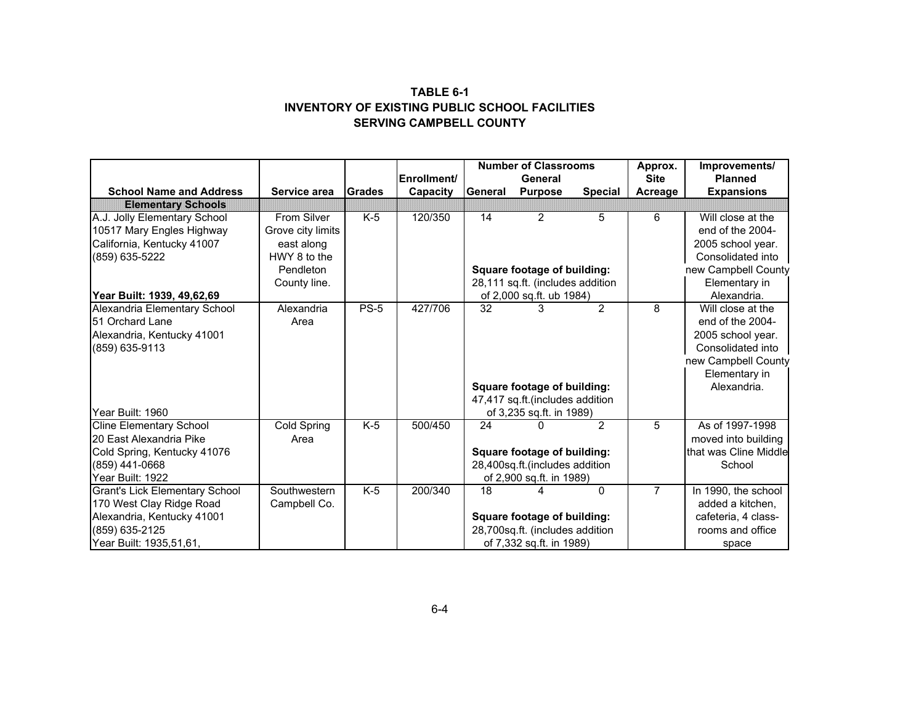## **TABLE 6-1INVENTORY OF EXISTING PUBLIC SCHOOL FACILITIES SERVING CAMPBELL COUNTY**

|                                       |                   |               | Enrollment/ | <b>Number of Classrooms</b><br>General |                                    |                | Approx.<br><b>Site</b> | Improvements/<br><b>Planned</b> |
|---------------------------------------|-------------------|---------------|-------------|----------------------------------------|------------------------------------|----------------|------------------------|---------------------------------|
| <b>School Name and Address</b>        | Service area      | <b>Grades</b> | Capacity    | General                                | <b>Purpose</b>                     | <b>Special</b> | Acreage                | <b>Expansions</b>               |
| <b>Elementary Schools</b>             |                   |               |             |                                        |                                    |                |                        |                                 |
| A.J. Jolly Elementary School          | From Silver       | $K-5$         | 120/350     | 14                                     | 2                                  | 5              | 6                      | Will close at the               |
| 10517 Mary Engles Highway             | Grove city limits |               |             |                                        |                                    |                |                        | end of the 2004-                |
| California, Kentucky 41007            | east along        |               |             |                                        |                                    |                |                        | 2005 school year.               |
| (859) 635-5222                        | HWY 8 to the      |               |             |                                        |                                    |                |                        | Consolidated into               |
|                                       | Pendleton         |               |             | <b>Square footage of building:</b>     |                                    |                |                        | new Campbell County             |
|                                       | County line.      |               |             | 28,111 sq.ft. (includes addition       |                                    |                |                        | Elementary in                   |
| Year Built: 1939, 49,62,69            |                   |               |             | of 2,000 sq.ft. ub 1984)               |                                    |                |                        | Alexandria.                     |
| Alexandria Elementary School          | Alexandria        | <b>PS-5</b>   | 427/706     | 32                                     | 3                                  | 2              | 8                      | Will close at the               |
| 51 Orchard Lane                       | Area              |               |             |                                        |                                    |                |                        | end of the 2004-                |
| Alexandria, Kentucky 41001            |                   |               |             |                                        |                                    |                |                        | 2005 school year.               |
| (859) 635-9113                        |                   |               |             |                                        |                                    |                |                        | Consolidated into               |
|                                       |                   |               |             |                                        |                                    |                |                        | new Campbell County             |
|                                       |                   |               |             |                                        |                                    |                |                        | Elementary in                   |
|                                       |                   |               |             | <b>Square footage of building:</b>     |                                    |                |                        | Alexandria.                     |
|                                       |                   |               |             | 47,417 sq.ft.(includes addition        |                                    |                |                        |                                 |
| Year Built: 1960                      |                   |               |             | of 3,235 sq.ft. in 1989)               |                                    |                |                        |                                 |
| <b>Cline Elementary School</b>        | Cold Spring       | $K-5$         | 500/450     | 24                                     | U                                  | 2              | 5                      | As of 1997-1998                 |
| 20 East Alexandria Pike               | Area              |               |             |                                        |                                    |                |                        | moved into building             |
| Cold Spring, Kentucky 41076           |                   |               |             |                                        | <b>Square footage of building:</b> |                |                        | that was Cline Middle           |
| (859) 441-0668                        |                   |               |             |                                        | 28,400sq.ft.(includes addition     |                |                        | School                          |
| Year Built: 1922                      |                   |               |             |                                        | of 2,900 sq.ft. in 1989)           |                |                        |                                 |
| <b>Grant's Lick Elementary School</b> | Southwestern      | $K-5$         | 200/340     | 18                                     | 4                                  | 0              | $\overline{7}$         | In 1990, the school             |
| 170 West Clay Ridge Road              | Campbell Co.      |               |             |                                        |                                    |                |                        | added a kitchen,                |
| Alexandria, Kentucky 41001            |                   |               |             |                                        | <b>Square footage of building:</b> |                |                        | cafeteria, 4 class-             |
| (859) 635-2125                        |                   |               |             |                                        | 28,700sq.ft. (includes addition    |                |                        | rooms and office                |
| Year Built: 1935,51,61,               |                   |               |             |                                        | of 7,332 sq.ft. in 1989)           |                |                        | space                           |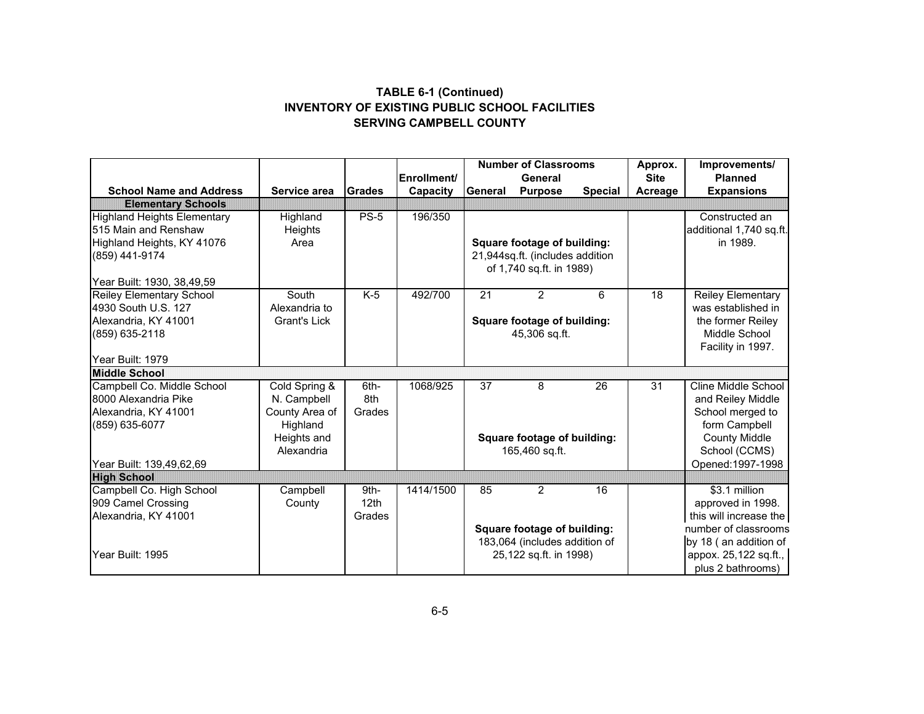## **INVENTORY OF EXISTING PUBLIC SCHOOL FACILITIES SERVING CAMPBELL COUNTY TABLE 6-1 (Continued)**

|               |                                                                                                                                                              |                                                                                                 | <b>Number of Classrooms</b>                                 |                     |                                                       | Approx.                                                                                                                                                                                                            | Improvements/                |
|---------------|--------------------------------------------------------------------------------------------------------------------------------------------------------------|-------------------------------------------------------------------------------------------------|-------------------------------------------------------------|---------------------|-------------------------------------------------------|--------------------------------------------------------------------------------------------------------------------------------------------------------------------------------------------------------------------|------------------------------|
|               |                                                                                                                                                              |                                                                                                 |                                                             |                     |                                                       |                                                                                                                                                                                                                    | <b>Planned</b>               |
|               |                                                                                                                                                              |                                                                                                 |                                                             |                     |                                                       |                                                                                                                                                                                                                    | <b>Expansions</b>            |
|               |                                                                                                                                                              |                                                                                                 |                                                             |                     |                                                       |                                                                                                                                                                                                                    | Constructed an               |
|               |                                                                                                                                                              |                                                                                                 |                                                             |                     |                                                       |                                                                                                                                                                                                                    | additional 1,740 sq.ft.      |
|               |                                                                                                                                                              |                                                                                                 |                                                             |                     |                                                       |                                                                                                                                                                                                                    | in 1989.                     |
|               |                                                                                                                                                              |                                                                                                 |                                                             |                     |                                                       |                                                                                                                                                                                                                    |                              |
|               |                                                                                                                                                              |                                                                                                 |                                                             |                     |                                                       |                                                                                                                                                                                                                    |                              |
|               |                                                                                                                                                              |                                                                                                 |                                                             |                     |                                                       |                                                                                                                                                                                                                    |                              |
| South         | $K-5$                                                                                                                                                        | 492/700                                                                                         | 21                                                          | 2                   | 6                                                     | 18                                                                                                                                                                                                                 | Reiley Elementary            |
| Alexandria to |                                                                                                                                                              |                                                                                                 |                                                             |                     |                                                       |                                                                                                                                                                                                                    | was established in           |
| Grant's Lick  |                                                                                                                                                              |                                                                                                 | <b>Square footage of building:</b>                          |                     |                                                       |                                                                                                                                                                                                                    | the former Reiley            |
|               |                                                                                                                                                              |                                                                                                 | 45,306 sq.ft.                                               |                     |                                                       |                                                                                                                                                                                                                    | Middle School                |
|               |                                                                                                                                                              |                                                                                                 |                                                             |                     |                                                       |                                                                                                                                                                                                                    | Facility in 1997.            |
|               |                                                                                                                                                              |                                                                                                 |                                                             |                     |                                                       |                                                                                                                                                                                                                    |                              |
|               |                                                                                                                                                              |                                                                                                 |                                                             |                     |                                                       |                                                                                                                                                                                                                    |                              |
|               |                                                                                                                                                              |                                                                                                 |                                                             |                     |                                                       |                                                                                                                                                                                                                    | Cline Middle School          |
|               |                                                                                                                                                              |                                                                                                 |                                                             |                     |                                                       |                                                                                                                                                                                                                    | and Reiley Middle            |
|               |                                                                                                                                                              |                                                                                                 |                                                             |                     |                                                       |                                                                                                                                                                                                                    | School merged to             |
|               |                                                                                                                                                              |                                                                                                 | Square footage of building:                                 |                     |                                                       |                                                                                                                                                                                                                    | form Campbell                |
|               |                                                                                                                                                              |                                                                                                 |                                                             |                     |                                                       |                                                                                                                                                                                                                    | <b>County Middle</b>         |
|               |                                                                                                                                                              |                                                                                                 |                                                             |                     |                                                       |                                                                                                                                                                                                                    | School (CCMS)                |
|               |                                                                                                                                                              |                                                                                                 |                                                             |                     |                                                       |                                                                                                                                                                                                                    | Opened: 1997-1998            |
|               |                                                                                                                                                              |                                                                                                 |                                                             |                     |                                                       |                                                                                                                                                                                                                    | \$3.1 million                |
|               |                                                                                                                                                              |                                                                                                 |                                                             |                     |                                                       |                                                                                                                                                                                                                    | approved in 1998.            |
|               |                                                                                                                                                              |                                                                                                 |                                                             |                     |                                                       |                                                                                                                                                                                                                    | this will increase the       |
|               |                                                                                                                                                              |                                                                                                 |                                                             |                     |                                                       |                                                                                                                                                                                                                    | number of classrooms         |
|               |                                                                                                                                                              |                                                                                                 |                                                             |                     |                                                       |                                                                                                                                                                                                                    | by 18 (an addition of        |
|               |                                                                                                                                                              |                                                                                                 |                                                             |                     |                                                       |                                                                                                                                                                                                                    | appox. 25,122 sq.ft.,        |
|               |                                                                                                                                                              |                                                                                                 |                                                             |                     |                                                       |                                                                                                                                                                                                                    | plus 2 bathrooms)            |
|               | Service area<br>Highland<br>Heights<br>Area<br>Cold Spring &<br>N. Campbell<br>County Area of<br>Highland<br>Heights and<br>Alexandria<br>Campbell<br>County | Grades<br><b>PS-5</b><br>6th-<br>8th<br>Grades<br>9 <sub>th</sub><br>12 <sub>th</sub><br>Grades | Enrollment/<br>Capacity<br>196/350<br>1068/925<br>1414/1500 | General<br>37<br>85 | General<br><b>Purpose</b><br>8<br>165,460 sq.ft.<br>2 | <b>Special</b><br>Square footage of building:<br>21,944sq.ft. (includes addition<br>of 1,740 sq.ft. in 1989)<br>26<br>16<br>Square footage of building:<br>183,064 (includes addition of<br>25,122 sq.ft. in 1998) | <b>Site</b><br>Acreage<br>31 |